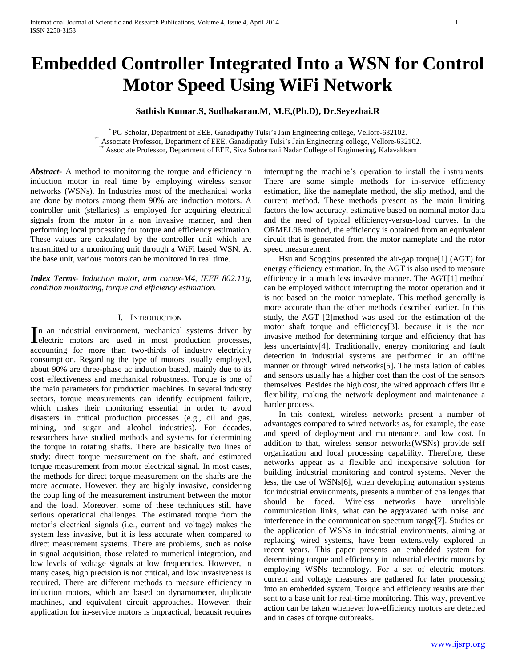# **Embedded Controller Integrated Into a WSN for Control Motor Speed Using WiFi Network**

## **Sathish Kumar.S, Sudhakaran.M, M.E,(Ph.D), Dr.Seyezhai.R**

\* PG Scholar, Department of EEE, Ganadipathy Tulsi's Jain Engineering college, Vellore-632102. \*\* Associate Professor, Department of EEE, Ganadipathy Tulsi's Jain Engineering college, Vellore-632102. \*\* Associate Professor, Department of EEE, Siva Subramani Nadar College of Enginnering, Kalavakkam

*Abstract***-** A method to monitoring the torque and efficiency in induction motor in real time by employing wireless sensor networks (WSNs). In Industries most of the mechanical works are done by motors among them 90% are induction motors. A controller unit (stellaries) is employed for acquiring electrical signals from the motor in a non invasive manner, and then performing local processing for torque and efficiency estimation. These values are calculated by the controller unit which are transmitted to a monitoring unit through a WiFi based WSN. At the base unit, various motors can be monitored in real time.

*Index Terms*- *Induction motor, arm cortex-M4, IEEE 802.11g, condition monitoring, torque and efficiency estimation.*

### I. INTRODUCTION

n an industrial environment, mechanical systems driven by In an industrial environment, mechanical systems driven by electric motors are used in most production processes, accounting for more than two-thirds of industry electricity consumption. Regarding the type of motors usually employed, about 90% are three-phase ac induction based, mainly due to its cost effectiveness and mechanical robustness. Torque is one of the main parameters for production machines. In several industry sectors, torque measurements can identify equipment failure, which makes their monitoring essential in order to avoid disasters in critical production processes (e.g., oil and gas, mining, and sugar and alcohol industries). For decades, researchers have studied methods and systems for determining the torque in rotating shafts. There are basically two lines of study: direct torque measurement on the shaft, and estimated torque measurement from motor electrical signal. In most cases, the methods for direct torque measurement on the shafts are the more accurate. However, they are highly invasive, considering the coup ling of the measurement instrument between the motor and the load. Moreover, some of these techniques still have serious operational challenges. The estimated torque from the motor's electrical signals (i.e., current and voltage) makes the system less invasive, but it is less accurate when compared to direct measurement systems. There are problems, such as noise in signal acquisition, those related to numerical integration, and low levels of voltage signals at low frequencies. However, in many cases, high precision is not critical, and low invasiveness is required. There are different methods to measure efficiency in induction motors, which are based on dynamometer, duplicate machines, and equivalent circuit approaches. However, their application for in-service motors is impractical, becausit requires

interrupting the machine's operation to install the instruments. There are some simple methods for in-service efficiency estimation, like the nameplate method, the slip method, and the current method. These methods present as the main limiting factors the low accuracy, estimative based on nominal motor data and the need of typical efficiency-versus-load curves. In the ORMEL96 method, the efficiency is obtained from an equivalent circuit that is generated from the motor nameplate and the rotor speed measurement.

 Hsu and Scoggins presented the air-gap torque[1] (AGT) for energy efficiency estimation. In, the AGT is also used to measure efficiency in a much less invasive manner. The AGT[1] method can be employed without interrupting the motor operation and it is not based on the motor nameplate. This method generally is more accurate than the other methods described earlier. In this study, the AGT [2]method was used for the estimation of the motor shaft torque and efficiency[3], because it is the non invasive method for determining torque and efficiency that has less uncertainty[4]. Traditionally, energy monitoring and fault detection in industrial systems are performed in an offline manner or through wired networks[5]. The installation of cables and sensors usually has a higher cost than the cost of the sensors themselves. Besides the high cost, the wired approach offers little flexibility, making the network deployment and maintenance a harder process.

 In this context, wireless networks present a number of advantages compared to wired networks as, for example, the ease and speed of deployment and maintenance, and low cost. In addition to that, wireless sensor networks(WSNs) provide self organization and local processing capability. Therefore, these networks appear as a flexible and inexpensive solution for building industrial monitoring and control systems. Never the less, the use of WSNs[6], when developing automation systems for industrial environments, presents a number of challenges that should be faced. Wireless networks have unreliable communication links, what can be aggravated with noise and interference in the communication spectrum range[7]. Studies on the application of WSNs in industrial environments, aiming at replacing wired systems, have been extensively explored in recent years. This paper presents an embedded system for determining torque and efficiency in industrial electric motors by employing WSNs technology. For a set of electric motors, current and voltage measures are gathered for later processing into an embedded system. Torque and efficiency results are then sent to a base unit for real-time monitoring. This way, preventive action can be taken whenever low-efficiency motors are detected and in cases of torque outbreaks.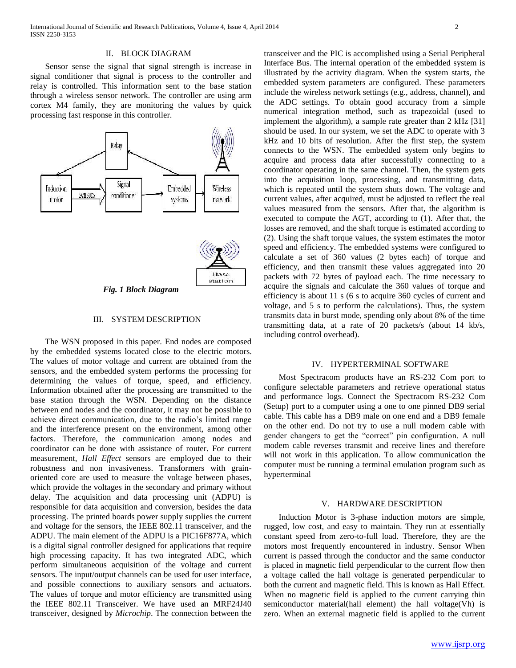### II. BLOCK DIAGRAM

 Sensor sense the signal that signal strength is increase in signal conditioner that signal is process to the controller and relay is controlled. This information sent to the base station through a wireless sensor network. The controller are using arm cortex M4 family, they are monitoring the values by quick processing fast response in this controller.



#### *Fig. 1 Block Diagram*

## III. SYSTEM DESCRIPTION

 The WSN proposed in this paper. End nodes are composed by the embedded systems located close to the electric motors. The values of motor voltage and current are obtained from the sensors, and the embedded system performs the processing for determining the values of torque, speed, and efficiency. Information obtained after the processing are transmitted to the base station through the WSN. Depending on the distance between end nodes and the coordinator, it may not be possible to achieve direct communication, due to the radio's limited range and the interference present on the environment, among other factors. Therefore, the communication among nodes and coordinator can be done with assistance of router. For current measurement, *Hall Effect* sensors are employed due to their robustness and non invasiveness. Transformers with grainoriented core are used to measure the voltage between phases, which provide the voltages in the secondary and primary without delay. The acquisition and data processing unit (ADPU) is responsible for data acquisition and conversion, besides the data processing. The printed boards power supply supplies the current and voltage for the sensors, the IEEE 802.11 transceiver, and the ADPU. The main element of the ADPU is a PIC16F877A, which is a digital signal controller designed for applications that require high processing capacity. It has two integrated ADC, which perform simultaneous acquisition of the voltage and current sensors. The input/output channels can be used for user interface, and possible connections to auxiliary sensors and actuators. The values of torque and motor efficiency are transmitted using the IEEE 802.11 Transceiver. We have used an MRF24J40 transceiver, designed by *Microchip*. The connection between the

transceiver and the PIC is accomplished using a Serial Peripheral Interface Bus. The internal operation of the embedded system is illustrated by the activity diagram. When the system starts, the embedded system parameters are configured. These parameters include the wireless network settings (e.g., address, channel), and the ADC settings. To obtain good accuracy from a simple numerical integration method, such as trapezoidal (used to implement the algorithm), a sample rate greater than 2 kHz [31] should be used. In our system, we set the ADC to operate with 3 kHz and 10 bits of resolution. After the first step, the system connects to the WSN. The embedded system only begins to acquire and process data after successfully connecting to a coordinator operating in the same channel. Then, the system gets into the acquisition loop, processing, and transmitting data, which is repeated until the system shuts down. The voltage and current values, after acquired, must be adjusted to reflect the real values measured from the sensors. After that, the algorithm is executed to compute the AGT, according to (1). After that, the losses are removed, and the shaft torque is estimated according to (2). Using the shaft torque values, the system estimates the motor speed and efficiency. The embedded systems were configured to calculate a set of 360 values (2 bytes each) of torque and efficiency, and then transmit these values aggregated into 20 packets with 72 bytes of payload each. The time necessary to acquire the signals and calculate the 360 values of torque and efficiency is about 11 s (6 s to acquire 360 cycles of current and voltage, and 5 s to perform the calculations). Thus, the system transmits data in burst mode, spending only about 8% of the time transmitting data, at a rate of 20 packets/s (about 14 kb/s, including control overhead).

#### IV. HYPERTERMINAL SOFTWARE

 Most Spectracom products have an RS-232 Com port to configure selectable parameters and retrieve operational status and performance logs. Connect the Spectracom RS-232 Com (Setup) port to a computer using a one to one pinned DB9 serial cable. This cable has a DB9 male on one end and a DB9 female on the other end. Do not try to use a null modem cable with gender changers to get the "correct" pin configuration. A null modem cable reverses transmit and receive lines and therefore will not work in this application. To allow communication the computer must be running a terminal emulation program such as hyperterminal

#### V. HARDWARE DESCRIPTION

 Induction Motor is 3-phase induction motors are simple, rugged, low cost, and easy to maintain. They run at essentially constant speed from zero-to-full load. Therefore, they are the motors most frequently encountered in industry. Sensor When current is passed through the conductor and the same conductor is placed in magnetic field perpendicular to the current flow then a voltage called the hall voltage is generated perpendicular to both the current and magnetic field. This is known as Hall Effect. When no magnetic field is applied to the current carrying thin semiconductor material(hall element) the hall voltage(Vh) is zero. When an external magnetic field is applied to the current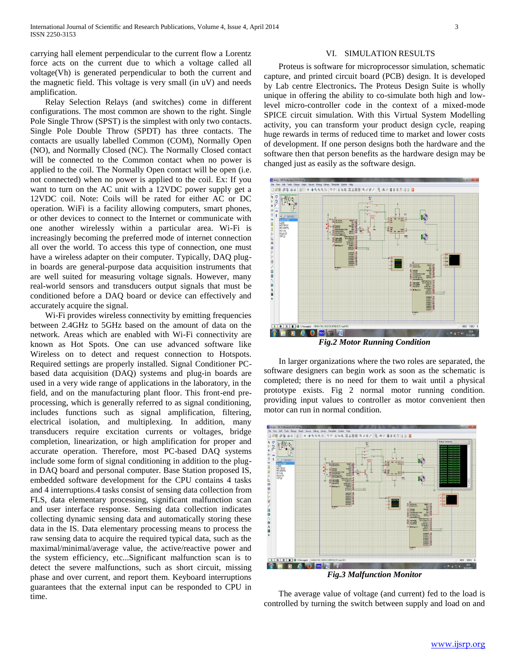carrying hall element perpendicular to the current flow a Lorentz force acts on the current due to which a voltage called all voltage(Vh) is generated perpendicular to both the current and the magnetic field. This voltage is very small (in uV) and needs amplification.

 Relay Selection Relays (and switches) come in different configurations. The most common are shown to the right. Single Pole Single Throw (SPST) is the simplest with only two contacts. Single Pole Double Throw (SPDT) has three contacts. The contacts are usually labelled Common (COM), Normally Open (NO), and Normally Closed (NC). The Normally Closed contact will be connected to the Common contact when no power is applied to the coil. The Normally Open contact will be open (i.e. not connected) when no power is applied to the coil. Ex: If you want to turn on the AC unit with a 12VDC power supply get a 12VDC coil. Note: Coils will be rated for either AC or DC operation. WiFi is a facility allowing computers, smart phones, or other devices to connect to the Internet or communicate with one another wirelessly within a particular area. Wi-Fi is increasingly becoming the preferred mode of internet connection all over the world. To access this type of connection, one must have a wireless adapter on their computer. Typically, DAQ plugin boards are general-purpose data acquisition instruments that are well suited for measuring voltage signals. However, many real-world sensors and transducers output signals that must be conditioned before a DAQ board or device can effectively and accurately acquire the signal.

 Wi-Fi provides wireless connectivity by emitting frequencies between 2.4GHz to 5GHz based on the amount of data on the network. Areas which are enabled with Wi-Fi connectivity are known as Hot Spots. One can use advanced software like Wireless on to detect and request connection to Hotspots. Required settings are properly installed. Signal Conditioner PCbased data acquisition (DAQ) systems and plug-in boards are used in a very wide range of applications in the laboratory, in the field, and on the manufacturing plant floor. This front-end preprocessing, which is generally referred to as signal conditioning, includes functions such as signal amplification, filtering, electrical isolation, and multiplexing. In addition, many transducers require excitation currents or voltages, bridge completion, linearization, or high amplification for proper and accurate operation. Therefore, most PC-based DAQ systems include some form of signal conditioning in addition to the plugin DAQ board and personal computer. Base Station proposed IS, embedded software development for the CPU contains 4 tasks and 4 interruptions.4 tasks consist of sensing data collection from FLS, data elementary processing, significant malfunction scan and user interface response. Sensing data collection indicates collecting dynamic sensing data and automatically storing these data in the IS. Data elementary processing means to process the raw sensing data to acquire the required typical data, such as the maximal/minimal/average value, the active/reactive power and the system efficiency, etc...Significant malfunction scan is to detect the severe malfunctions, such as short circuit, missing phase and over current, and report them. Keyboard interruptions guarantees that the external input can be responded to CPU in time.

#### VI. SIMULATION RESULTS

 Proteus is software for microprocessor simulation, schematic capture, and printed circuit board (PCB) design. It is developed by Lab centre Electronics**.** The Proteus Design Suite is wholly unique in offering the ability to co-simulate both high and lowlevel micro-controller code in the context of a mixed-mode SPICE circuit simulation. With this Virtual System Modelling activity, you can transform your product design cycle, reaping huge rewards in terms of reduced time to market and lower costs of development. If one person designs both the hardware and the software then that person benefits as the hardware design may be changed just as easily as the software design.



*Fig.2 Motor Running Condition*

 In larger organizations where the two roles are separated, the software designers can begin work as soon as the schematic is completed; there is no need for them to wait until a physical prototype exists. Fig 2 normal motor running condition. providing input values to controller as motor convenient then motor can run in normal condition.



*Fig.3 Malfunction Monitor*

 The average value of voltage (and current) fed to the load is controlled by turning the switch between supply and load on and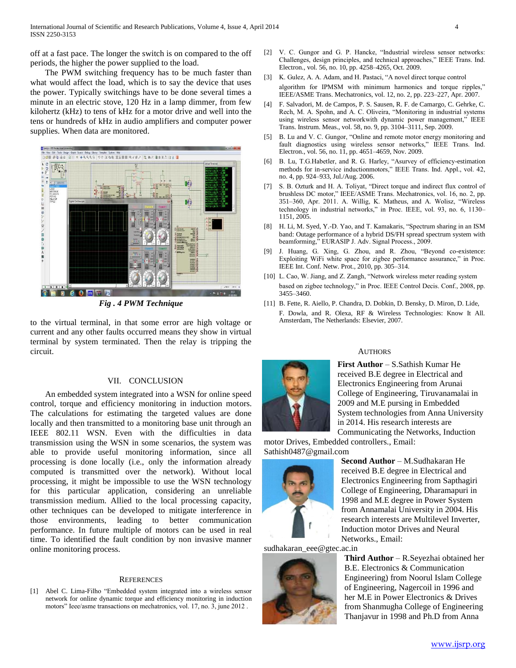off at a fast pace. The longer the switch is on compared to the off periods, the higher the power supplied to the load.

 The PWM switching frequency has to be much faster than what would affect the load, which is to say the device that uses the power. Typically switchings have to be done several times a minute in an electric stove, 120 Hz in a lamp dimmer, from few kilohertz (kHz) to tens of kHz for a motor drive and well into the tens or hundreds of kHz in audio amplifiers and computer power supplies. When data are monitored.



*Fig . 4 PWM Technique*

to the virtual terminal, in that some error are high voltage or current and any other faults occurred means they show in virtual terminal by system terminated. Then the relay is tripping the circuit.

#### VII. CONCLUSION

 An embedded system integrated into a WSN for online speed control, torque and efficiency monitoring in induction motors. The calculations for estimating the targeted values are done locally and then transmitted to a monitoring base unit through an IEEE 802.11 WSN. Even with the difficulties in data transmission using the WSN in some scenarios, the system was able to provide useful monitoring information, since all processing is done locally (i.e., only the information already computed is transmitted over the network). Without local processing, it might be impossible to use the WSN technology for this particular application, considering an unreliable transmission medium. Allied to the local processing capacity, other techniques can be developed to mitigate interference in those environments, leading to better communication performance. In future multiple of motors can be used in real time. To identified the fault condition by non invasive manner online monitoring process.

#### **REFERENCES**

[1] Abel C. Lima-Filho "Embedded system integrated into a wireless sensor network for online dynamic torque and efficiency monitoring in induction motors" Ieee/asme transactions on mechatronics, vol. 17, no. 3, june 2012 .

- [2] V. C. Gungor and G. P. Hancke, "Industrial wireless sensor networks: Challenges, design principles, and technical approaches," IEEE Trans. Ind. Electron., vol. 56, no. 10, pp. 4258–4265, Oct. 2009.
- [3] K. Gulez, A. A. Adam, and H. Pastaci, "A novel direct torque control algorithm for IPMSM with minimum harmonics and torque ripples," IEEE/ASME Trans. Mechatronics, vol. 12, no. 2, pp. 223–227, Apr. 2007.
- [4] F. Salvadori, M. de Campos, P. S. Sausen, R. F. de Camargo, C. Gehrke, C. Rech, M. A. Spohn, and A. C. Oliveira, "Monitoring in industrial systems using wireless sensor networkwith dynamic power management," IEEE Trans. Instrum. Meas., vol. 58, no. 9, pp. 3104–3111, Sep. 2009.
- [5] B. Lu and V. C. Gungor, "Online and remote motor energy monitoring and fault diagnostics using wireless sensor networks," IEEE Trans. Ind. Electron., vol. 56, no. 11, pp. 4651–4659, Nov. 2009.
- [6] B. Lu, T.G.Habetler, and R. G. Harley, "Asurvey of efficiency-estimation methods for in-service inductionmotors," IEEE Trans. Ind. Appl., vol. 42, no. 4, pp. 924–933, Jul./Aug. 2006.
- [7] S. B. Ozturk and H. A. Toliyat, "Direct torque and indirect flux control of brushless DC motor," IEEE/ASME Trans. Mechatronics, vol. 16, no. 2, pp. 351–360, Apr. 2011. A. Willig, K. Matheus, and A. Wolisz, "Wireless technology in industrial networks," in Proc. IEEE, vol. 93, no. 6, 1130– 1151, 2005.
- [8] H. Li, M. Syed, Y.-D. Yao, and T. Kamakaris, "Spectrum sharing in an ISM band: Outage performance of a hybrid DS/FH spread spectrum system with beamforming," EURASIP J. Adv. Signal Process., 2009.
- [9] J. Huang, G. Xing, G. Zhou, and R. Zhou, "Beyond co-existence: Exploiting WiFi white space for zigbee performance assurance," in Proc. IEEE Int. Conf. Netw. Prot., 2010, pp. 305–314.
- [10] L. Cao, W. Jiang, and Z. Zangh, "Network wireless meter reading system based on zigbee technology," in Proc. IEEE Control Decis. Conf., 2008, pp. 3455–3460.
- [11] B. Fette, R. Aiello, P. Chandra, D. Dobkin, D. Bensky, D. Miron, D. Lide, F. Dowla, and R. Olexa, RF & Wireless Technologies: Know It All. Amsterdam, The Netherlands: Elsevier, 2007.



#### **AUTHORS**

**First Author** – S.Sathish Kumar He received B.E degree in Electrical and Electronics Engineering from Arunai College of Engineering, Tiruvanamalai in 2009 and M.E pursing in Embedded System technologies from Anna University in 2014. His research interests are Communicating the Networks, Induction

motor Drives, Embedded controllers., Email: Sathish0487@gmail.com



**Second Author** – M.Sudhakaran He received B.E degree in Electrical and Electronics Engineering from Sapthagiri College of Engineering, Dharamapuri in 1998 and M.E degree in Power System from Annamalai University in 2004. His research interests are Multilevel Inverter, Induction motor Drives and Neural Networks., Email:

sudhakaran\_eee@gtec.ac.in

**Third Author** – R.Seyezhai obtained her B.E. Electronics & Communication Engineering) from Noorul Islam College of Engineering, Nagercoil in 1996 and her M.E in Power Electronics & Drives from Shanmugha College of Engineering Thanjavur in 1998 and Ph.D from Anna